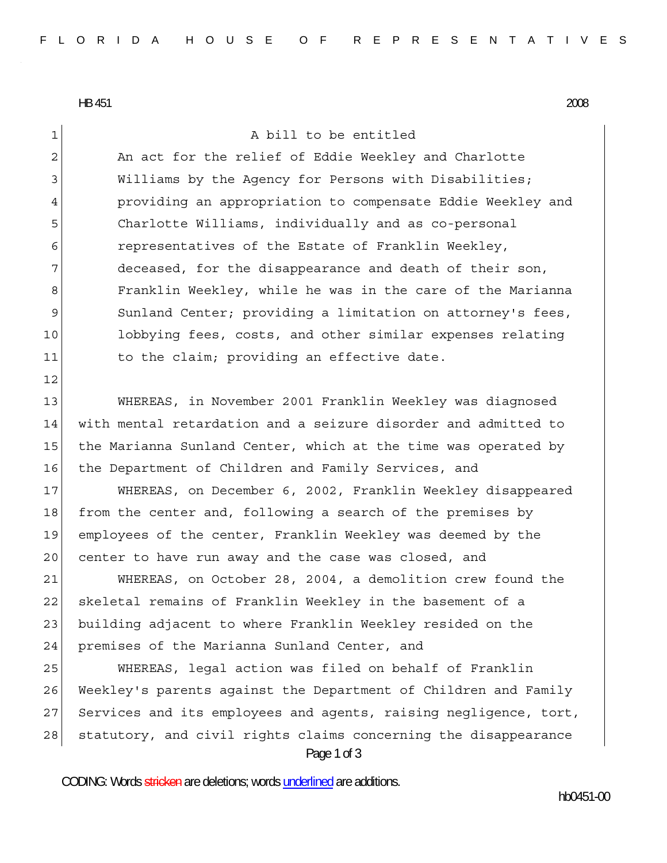HB 451 2008

12

1 A bill to be entitled

2 An act for the relief of Eddie Weekley and Charlotte 3 Williams by the Agency for Persons with Disabilities; 4 providing an appropriation to compensate Eddie Weekley and 5 Charlotte Williams, individually and as co-personal 6 representatives of the Estate of Franklin Weekley, 7 deceased, for the disappearance and death of their son, 8 Franklin Weekley, while he was in the care of the Marianna 9 Sunland Center; providing a limitation on attorney's fees, 10 lobbying fees, costs, and other similar expenses relating 11 to the claim; providing an effective date.

13 WHEREAS, in November 2001 Franklin Weekley was diagnosed 14 with mental retardation and a seizure disorder and admitted to 15 the Marianna Sunland Center, which at the time was operated by 16 the Department of Children and Family Services, and

17 WHEREAS, on December 6, 2002, Franklin Weekley disappeared 18 from the center and, following a search of the premises by 19 employees of the center, Franklin Weekley was deemed by the 20 center to have run away and the case was closed, and

21 WHEREAS, on October 28, 2004, a demolition crew found the 22 skeletal remains of Franklin Weekley in the basement of a 23 building adjacent to where Franklin Weekley resided on the 24 premises of the Marianna Sunland Center, and

Page 1 of 3 25 WHEREAS, legal action was filed on behalf of Franklin 26 Weekley's parents against the Department of Children and Family 27 Services and its employees and agents, raising negligence, tort, 28 statutory, and civil rights claims concerning the disappearance

CODING: Words stricken are deletions; words underlined are additions.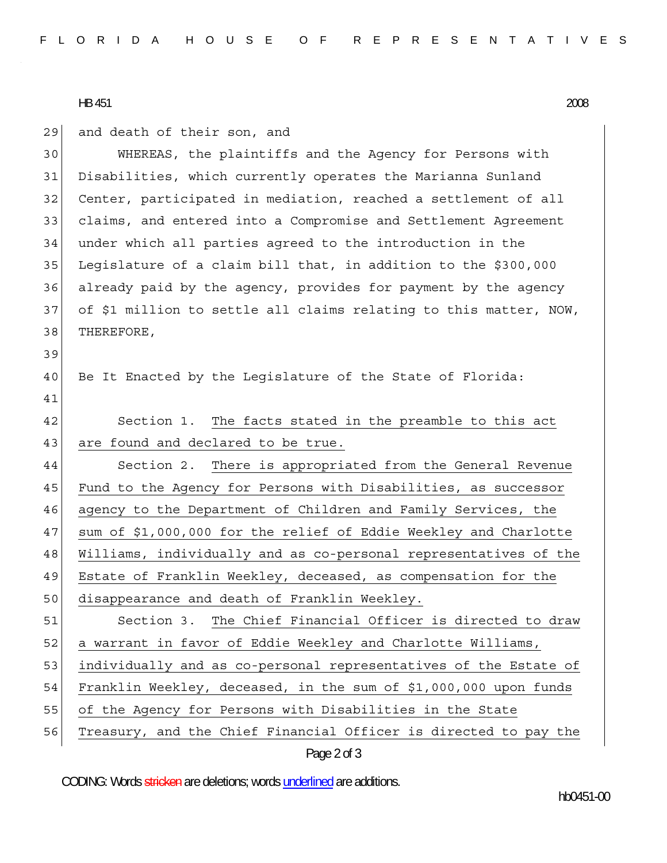## HB 451 2008

39

41

|  |  |  |  | 29  and death of their son, and |  |  |  |
|--|--|--|--|---------------------------------|--|--|--|
|--|--|--|--|---------------------------------|--|--|--|

30 WHEREAS, the plaintiffs and the Agency for Persons with 31 Disabilities, which currently operates the Marianna Sunland 32 Center, participated in mediation, reached a settlement of all 33 claims, and entered into a Compromise and Settlement Agreement 34 under which all parties agreed to the introduction in the 35 Legislature of a claim bill that, in addition to the \$300,000 36 already paid by the agency, provides for payment by the agency 37 of \$1 million to settle all claims relating to this matter, NOW, 38 THEREFORE,

- 40 Be It Enacted by the Legislature of the State of Florida:
- 42 Section 1. The facts stated in the preamble to this act 43 are found and declared to be true.

44 Section 2. There is appropriated from the General Revenue 45 Fund to the Agency for Persons with Disabilities, as successor 46 agency to the Department of Children and Family Services, the 47 sum of \$1,000,000 for the relief of Eddie Weekley and Charlotte 48 Williams, individually and as co-personal representatives of the 49 Estate of Franklin Weekley, deceased, as compensation for the 50 disappearance and death of Franklin Weekley. 51 Section 3. The Chief Financial Officer is directed to draw 52 a warrant in favor of Eddie Weekley and Charlotte Williams,

53 individually and as co-personal representatives of the Estate of

- 54 Franklin Weekley, deceased, in the sum of \$1,000,000 upon funds
- 55 of the Agency for Persons with Disabilities in the State
- 56 Treasury, and the Chief Financial Officer is directed to pay the

## Page 2 of 3

CODING: Words stricken are deletions; words underlined are additions.